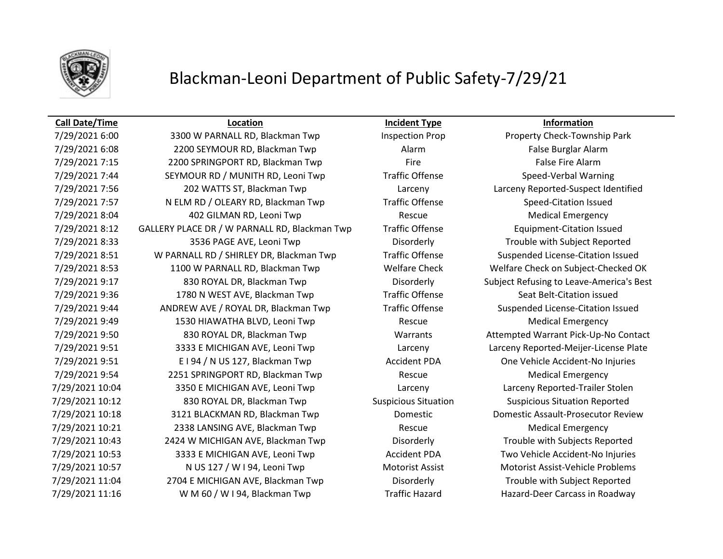

### **Call Date/Time Location Incident Type Information**

7/29/2021 6:08 2200 SEYMOUR RD, Blackman Twp Alarm Alarm False Burglar Alarm 7/29/2021 7:15 2200 SPRINGPORT RD, Blackman Twp Fire Fire Fire False Fire Alarm 7/29/2021 7:44 SEYMOUR RD / MUNITH RD, Leoni Twp Traffic Offense Speed-Verbal Warning 7/29/2021 7:56 202 WATTS ST, Blackman Twp Larceny Larceny Reported-Suspect Identified 7/29/2021 7:57 N ELM RD / OLEARY RD, Blackman Twp Traffic Offense Speed-Citation Issued 7/29/2021 8:04 402 GILMAN RD, Leoni Twp Rescue Medical Emergency 7/29/2021 8:12 GALLERY PLACE DR / W PARNALL RD, Blackman Twp Traffic Offense Equipment-Citation Issued 7/29/2021 8:33 3536 PAGE AVE, Leoni Twp Disorderly Trouble with Subject Reported 7/29/2021 8:51 W PARNALL RD / SHIRLEY DR, Blackman Twp Traffic Offense Suspended License-Citation Issued 7/29/2021 8:53 1100 W PARNALL RD, Blackman Twp Welfare Check Welfare Check on Subject-Checked OK 7/29/2021 9:17 830 ROYAL DR, Blackman Twp Disorderly Subject Refusing to Leave-America's Best 7/29/2021 9:36 1780 N WEST AVE, Blackman Twp Traffic Offense Seat Belt-Citation issued 7/29/2021 9:44 ANDREW AVE / ROYAL DR, Blackman Twp Traffic Offense Suspended License-Citation Issued 7/29/2021 9:49 1530 HIAWATHA BLVD, Leoni Twp Rescue Rescue Medical Emergency 7/29/2021 9:50 830 ROYAL DR, Blackman Twp Warrants Attempted Warrant Pick-Up-No Contact 7/29/2021 9:51 3333 E MICHIGAN AVE, Leoni Twp Larceny Larceny Reported-Meijer-License Plate 7/29/2021 9:51 E I 94 / N US 127, Blackman Twp Accident PDA One Vehicle Accident-No Injuries 7/29/2021 9:54 2251 SPRINGPORT RD, Blackman Twp Rescue Medical Emergency 7/29/2021 10:04 3350 E MICHIGAN AVE, Leoni Twp Larceny Larceny Reported-Trailer Stolen 7/29/2021 10:12 830 ROYAL DR, Blackman Twp Suspicious Situation Suspicious Situation Reported 7/29/2021 10:18 3121 BLACKMAN RD, Blackman Twp Domestic Domestic Assault-Prosecutor Review 7/29/2021 10:21 2338 LANSING AVE, Blackman Twp Rescue Medical Emergency 7/29/2021 10:43 2424 W MICHIGAN AVE, Blackman Twp Disorderly Trouble with Subjects Reported 7/29/2021 10:53 3333 E MICHIGAN AVE, Leoni Twp Accident PDA Two Vehicle Accident-No Injuries 7/29/2021 10:57 N US 127 / W I 94, Leoni Twp Motorist Assist Motorist Assist Motorist Assist-Vehicle Problems 7/29/2021 11:04 2704 E MICHIGAN AVE, Blackman Twp Disorderly Trouble with Subject Reported 7/29/2021 11:16 W M 60 / W I 94, Blackman Twp Traffic Hazard Hazard-Deer Carcass in Roadway

7/29/2021 6:00 3300 W PARNALL RD, Blackman Twp Inspection Prop Property Check-Township Park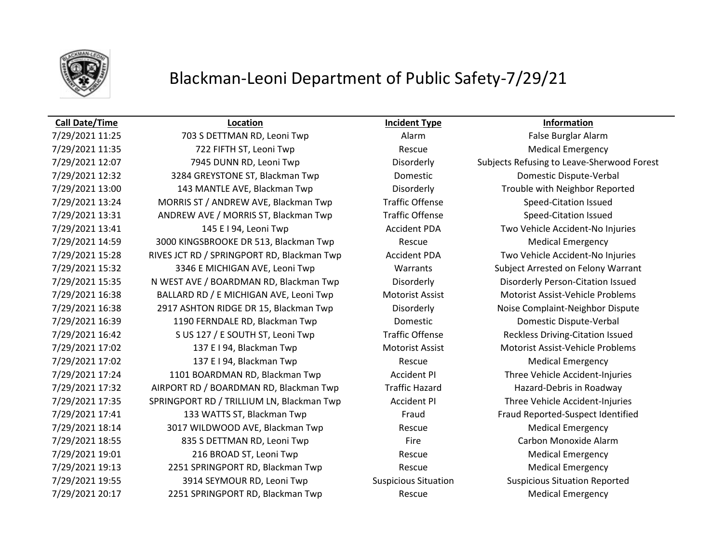

### **Call Date/Time Location Incident Type Information**

7/29/2021 11:25 703 S DETTMAN RD, Leoni Twp Alarm Alarm False Burglar Alarm 7/29/2021 11:35 222 FIFTH ST, Leoni Twp Rescue Rescue Medical Emergency 7/29/2021 12:07 7945 DUNN RD, Leoni Twp Disorderly Subjects Refusing to Leave-Sherwood Forest 7/29/2021 12:32 3284 GREYSTONE ST, Blackman Twp Domestic Domestic Dispute-Verbal 7/29/2021 13:00 143 MANTLE AVE, Blackman Twp Disorderly Trouble with Neighbor Reported 7/29/2021 13:24 MORRIS ST / ANDREW AVE, Blackman Twp Traffic Offense Speed-Citation Issued 7/29/2021 13:31 ANDREW AVE / MORRIS ST, Blackman Twp Traffic Offense Speed-Citation Issued 7/29/2021 13:41 145 E I 94, Leoni Twp Accident PDA Two Vehicle Accident-No Injuries 7/29/2021 14:59 3000 KINGSBROOKE DR 513, Blackman Twp Rescue Medical Emergency 7/29/2021 15:28 RIVES JCT RD / SPRINGPORT RD, Blackman Twp Accident PDA Two Vehicle Accident-No Injuries 7/29/2021 15:32 3346 E MICHIGAN AVE, Leoni Twp Warrants Subject Arrested on Felony Warrant 7/29/2021 15:35 N WEST AVE / BOARDMAN RD, Blackman Twp Disorderly Disorderly Person-Citation Issued 7/29/2021 16:38 BALLARD RD / E MICHIGAN AVE, Leoni Twp Motorist Assist Motorist Assist-Vehicle Problems 7/29/2021 16:38 2917 ASHTON RIDGE DR 15, Blackman Twp Disorderly Noise Complaint-Neighbor Dispute 7/29/2021 16:39 1190 FERNDALE RD, Blackman Twp Domestic Domestic Dispute-Verbal 7/29/2021 16:42 S US 127 / E SOUTH ST, Leoni Twp Traffic Offense Reckless Driving-Citation Issued 7/29/2021 17:02 137 E I 94, Blackman Twp Motorist Assist Motorist Assist Motorist Assist-Vehicle Problems 7/29/2021 17:02 137 E I 94, Blackman Twp Rescue Rescue Medical Emergency 7/29/2021 17:24 1101 BOARDMAN RD, Blackman Twp Accident PI Three Vehicle Accident-Injuries 7/29/2021 17:32 AIRPORT RD / BOARDMAN RD, Blackman Twp Traffic Hazard Hazard-Debris in Roadway 7/29/2021 17:35 SPRINGPORT RD / TRILLIUM LN, Blackman Twp Accident PI Three Vehicle Accident-Injuries 7/29/2021 17:41 133 WATTS ST, Blackman Twp Fraud Fraud Reported-Suspect Identified 7/29/2021 18:14 3017 WILDWOOD AVE, Blackman Twp Rescue Medical Emergency 7/29/2021 18:55 835 S DETTMAN RD, Leoni Twp Fire Fire Carbon Monoxide Alarm 7/29/2021 19:01 216 BROAD ST, Leoni Twp Rescue Rescue Medical Emergency 7/29/2021 19:13 2251 SPRINGPORT RD, Blackman Twp Rescue Medical Emergency 7/29/2021 19:55 3914 SEYMOUR RD, Leoni Twp Suspicious Situation Suspicious Situation Reported 7/29/2021 20:17 2251 SPRINGPORT RD, Blackman Twp Rescue Medical Emergency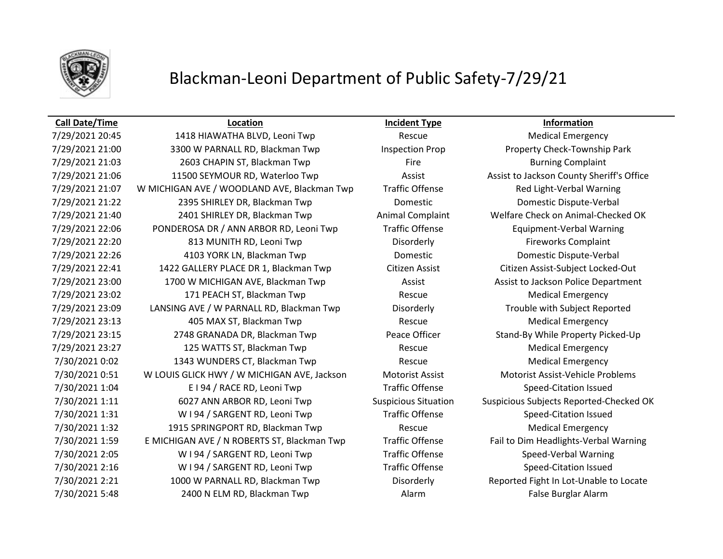

### **Call Date/Time Location Incident Type Information**

7/29/2021 20:45 1418 HIAWATHA BLVD, Leoni Twp Rescue Medical Emergency 7/29/2021 21:00 3300 W PARNALL RD, Blackman Twp Inspection Prop Property Check-Township Park 7/29/2021 21:03 2603 CHAPIN ST, Blackman Twp Fire Fire Burning Complaint 7/29/2021 21:06 11500 SEYMOUR RD, Waterloo Twp Assist Assist Assist to Jackson County Sheriff's Office 7/29/2021 21:07 W MICHIGAN AVE / WOODLAND AVE, Blackman Twp Traffic Offense Red Light-Verbal Warning 7/29/2021 21:22 2395 SHIRLEY DR, Blackman Twp Domestic Domestic Dispute-Verbal 7/29/2021 21:40 2401 SHIRLEY DR, Blackman Twp Animal Complaint Welfare Check on Animal-Checked OK 7/29/2021 22:06 PONDEROSA DR / ANN ARBOR RD, Leoni Twp Traffic Offense Equipment-Verbal Warning 7/29/2021 22:20 813 MUNITH RD, Leoni Twp Disorderly Disorderly Fireworks Complaint 7/29/2021 22:26 4103 YORK LN, Blackman Twp Domestic Domestic Dispute-Verbal 7/29/2021 22:41 1422 GALLERY PLACE DR 1, Blackman Twp Citizen Assist Citizen Assist-Subject Locked-Out 7/29/2021 23:00 1700 W MICHIGAN AVE, Blackman Twp Assist Assist to Jackson Police Department 7/29/2021 23:02 171 PEACH ST, Blackman Twp Rescue Medical Emergency 7/29/2021 23:09 LANSING AVE / W PARNALL RD, Blackman Twp Disorderly Trouble with Subject Reported 7/29/2021 23:13 405 MAX ST, Blackman Twp Rescue Medical Emergency 7/29/2021 23:15 2748 GRANADA DR, Blackman Twp Peace Officer Stand-By While Property Picked-Up 7/29/2021 23:27 125 WATTS ST, Blackman Twp Rescue Medical Emergency 7/30/2021 0:02 1343 WUNDERS CT, Blackman Twp Rescue Medical Emergency 7/30/2021 0:51 W LOUIS GLICK HWY / W MICHIGAN AVE, Jackson Motorist Assist Motorist Assist-Vehicle Problems 7/30/2021 1:04 E I 94 / RACE RD, Leoni Twp Traffic Offense Speed-Citation Issued 7/30/2021 1:11 6027 ANN ARBOR RD, Leoni Twp Suspicious Situation Suspicious Subjects Reported-Checked OK 7/30/2021 1:31 W I 94 / SARGENT RD, Leoni Twp Traffic Offense Speed-Citation Issued 7/30/2021 1:32 1915 SPRINGPORT RD, Blackman Twp Rescue Rescue Medical Emergency 7/30/2021 1:59 E MICHIGAN AVE / N ROBERTS ST, Blackman Twp Traffic Offense Fail to Dim Headlights-Verbal Warning 7/30/2021 2:05 WI 94 / SARGENT RD, Leoni Twp Traffic Offense Speed-Verbal Warning 7/30/2021 2:16 WI 94 / SARGENT RD, Leoni Twp Traffic Offense Speed-Citation Issued 7/30/2021 2:21 1000 W PARNALL RD, Blackman Twp Disorderly Reported Fight In Lot-Unable to Locate 7/30/2021 5:48 2400 N ELM RD, Blackman Twp **Alarm** Alarm **False Burglar Alarm** False Burglar Alarm